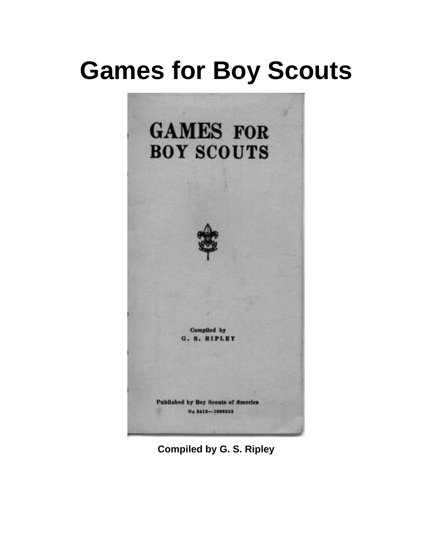# **Games for Boy Scouts**



**Compiled by G. S. Ripley**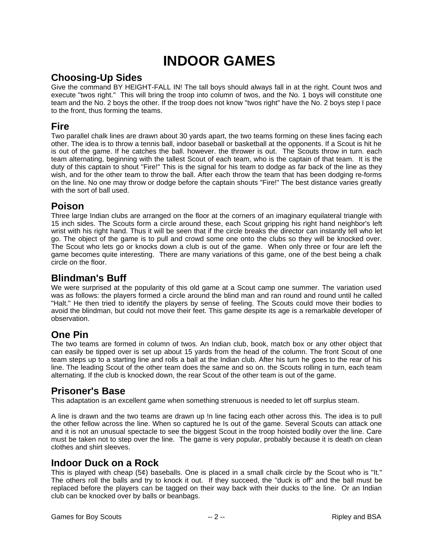# **INDOOR GAMES**

# **Choosing-Up Sides**

Give the command BY HEIGHT-FALL IN! The tall boys should always fall in at the right. Count twos and execute "twos right." This will bring the troop into column of twos, and the No. 1 boys will constitute one team and the No. 2 boys the other. If the troop does not know "twos right" have the No. 2 boys step I pace to the front, thus forming the teams.

### **Fire**

Two parallel chalk lines are drawn about 30 yards apart, the two teams forming on these lines facing each other. The idea is to throw a tennis ball, indoor baseball or basketball at the opponents. If a Scout is hit he is out of the game. If he catches the ball. however. the thrower is out. The Scouts throw in turn. each team alternating, beginning with the tallest Scout of each team, who is the captain of that team. It is the duty of this captain to shout "Fire!" This is the signal for his team to dodge as far back of the line as they wish, and for the other team to throw the ball. After each throw the team that has been dodging re-forms on the line. No one may throw or dodge before the captain shouts "Fire!" The best distance varies greatly with the sort of ball used.

# **Poison**

Three large Indian clubs are arranged on the floor at the corners of an imaginary equilateral triangle with 15 inch sides. The Scouts form a circle around these, each Scout gripping his right hand neighbor's left wrist with his right hand. Thus it will be seen that if the circle breaks the director can instantly tell who let go. The object of the game is to pull and crowd some one onto the clubs so they will be knocked over. The Scout who lets go or knocks down a club is out of the game. When only three or four are left the game becomes quite interesting. There are many variations of this game, one of the best being a chalk circle on the floor.

### **Blindman's Buff**

We were surprised at the popularity of this old game at a Scout camp one summer. The variation used was as follows: the players formed a circle around the blind man and ran round and round until he called "Halt." He then tried to identify the players by sense of feeling. The Scouts could move their bodies to avoid the blindman, but could not move their feet. This game despite its age is a remarkable developer of observation.

# **One Pin**

The two teams are formed in column of twos. An Indian club, book, match box or any other object that can easily be tipped over is set up about 15 yards from the head of the column. The front Scout of one team steps up to a starting line and rolls a ball at the Indian club. After his turn he goes to the rear of his line. The leading Scout of the other team does the same and so on. the Scouts rolling in turn, each team alternating. If the club is knocked down, the rear Scout of the other team is out of the game.

# **Prisoner's Base**

This adaptation is an excellent game when something strenuous is needed to let off surplus steam.

A line is drawn and the two teams are drawn up !n line facing each other across this. The idea is to pull the other fellow across the line. When so captured he Is out of the game. Several Scouts can attack one and it is not an unusual spectacle to see the biggest Scout in the troop hoisted bodily over the line. Care must be taken not to step over the line. The game is very popular, probably because it is death on clean clothes and shirt sleeves.

# **Indoor Duck on a Rock**

This is played with cheap  $(5¢)$  baseballs. One is placed in a small chalk circle by the Scout who is "It." The others roll the balls and try to knock it out. If they succeed, the "duck is off" and the ball must be replaced before the players can be tagged on their way back with their ducks to the line. Or an Indian club can be knocked over by balls or beanbags.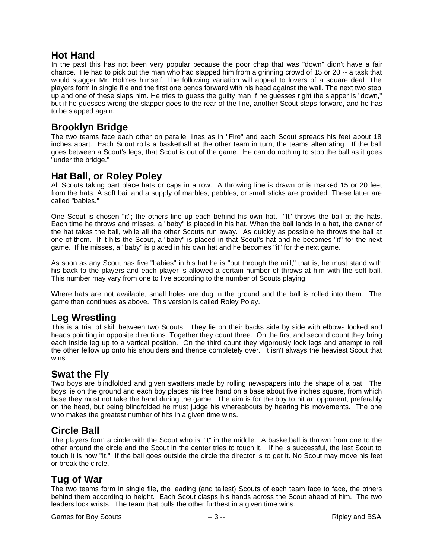# **Hot Hand**

In the past this has not been very popular because the poor chap that was "down" didn't have a fair chance. He had to pick out the man who had slapped him from a grinning crowd of 15 or 20 -- a task that would stagger Mr. Holmes himself. The following variation will appeal to lovers of a square deal: The players form in single file and the first one bends forward with his head against the wall. The next two step up and one of these slaps him. He tries to guess the guilty man If he guesses right the slapper is "down," but if he guesses wrong the slapper goes to the rear of the line, another Scout steps forward, and he has to be slapped again.

# **Brooklyn Bridge**

The two teams face each other on parallel lines as in "Fire" and each Scout spreads his feet about 18 inches apart. Each Scout rolls a basketball at the other team in turn, the teams alternating. If the ball goes between a Scout's legs, that Scout is out of the game. He can do nothing to stop the ball as it goes "under the bridge."

### **Hat Ball, or Roley Poley**

All Scouts taking part place hats or caps in a row. A throwing line is drawn or is marked 15 or 20 feet from the hats. A soft bail and a supply of marbles, pebbles, or small sticks are provided. These latter are called "babies."

One Scout is chosen "it"; the others line up each behind his own hat. "It" throws the ball at the hats. Each time he throws and misses, a "baby" is placed in his hat. When the ball lands in a hat, the owner of the hat takes the ball, while all the other Scouts run away. As quickly as possible he throws the ball at one of them. If it hits the Scout, a "baby" is placed in that Scout's hat and he becomes "it" for the next game. If he misses, a "baby" is placed in his own hat and he becomes "it" for the next game.

As soon as any Scout has five "babies" in his hat he is "put through the mill," that is, he must stand with his back to the players and each player is allowed a certain number of throws at him with the soft ball. This number may vary from one to five according to the number of Scouts playing.

Where hats are not available, small holes are dug in the ground and the ball is rolled into them. The game then continues as above. This version is called Roley Poley.

# **Leg Wrestling**

This is a trial of skill between two Scouts. They lie on their backs side by side with elbows locked and heads pointing in opposite directions. Together they count three. On the first and second count they bring each inside leg up to a vertical position. On the third count they vigorously lock legs and attempt to roll the other fellow up onto his shoulders and thence completely over. It isn't always the heaviest Scout that wins.

# **Swat the Fly**

Two boys are blindfolded and given swatters made by rolling newspapers into the shape of a bat. The boys lie on the ground and each boy places his free hand on a base about five inches square, from which base they must not take the hand during the game. The aim is for the boy to hit an opponent, preferably on the head, but being blindfolded he must judge his whereabouts by hearing his movements. The one who makes the greatest number of hits in a given time wins.

# **Circle Ball**

The players form a circle with the Scout who is "It" in the middle. A basketball is thrown from one to the other around the circle and the Scout in the center tries to touch it. If he is successful, the last Scout to touch It is now "It." If the ball goes outside the circle the director is to get it. No Scout may move his feet or break the circle.

# **Tug of War**

The two teams form in single file, the leading (and tallest) Scouts of each team face to face, the others behind them according to height. Each Scout clasps his hands across the Scout ahead of him. The two leaders lock wrists. The team that pulls the other furthest in a given time wins.

Games for Boy Scouts **-- 3 --** All and BSA -- Ripley and BSA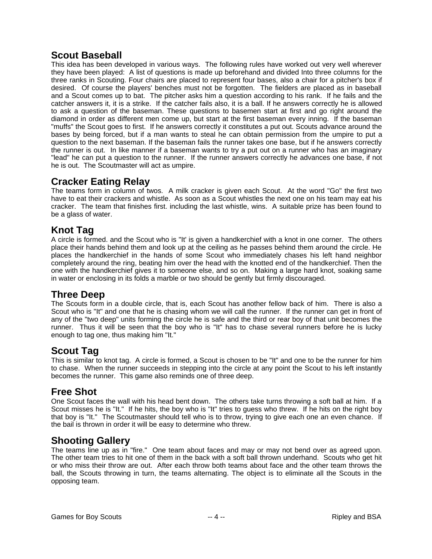# **Scout Baseball**

This idea has been developed in various ways. The following rules have worked out very well wherever they have been played: A list of questions is made up beforehand and divided Into three columns for the three ranks in Scouting. Four chairs are placed to represent four bases, also a chair for a pitcher's box if desired. Of course the players' benches must not be forgotten. The fielders are placed as in baseball and a Scout comes up to bat. The pitcher asks him a question according to his rank. If he fails and the catcher answers it, it is a strike. If the catcher fails also, it is a ball. If he answers correctly he is allowed to ask a question of the baseman. These questions to basemen start at first and go right around the diamond in order as different men come up, but start at the first baseman every inning. If the baseman "muffs" the Scout goes to first. If he answers correctly it constitutes a put out. Scouts advance around the bases by being forced, but if a man wants to steal he can obtain permission from the umpire to put a question to the next baseman. If the baseman fails the runner takes one base, but if he answers correctly the runner is out. In like manner if a baseman wants to try a put out on a runner who has an imaginary "lead" he can put a question to the runner. If the runner answers correctly he advances one base, if not he is out. The Scoutmaster will act as umpire.

# **Cracker Eating Relay**

The teams form in column of twos. A milk cracker is given each Scout. At the word "Go" the first two have to eat their crackers and whistle. As soon as a Scout whistles the next one on his team may eat his cracker. The team that finishes first. including the last whistle, wins. A suitable prize has been found to be a glass of water.

# **Knot Tag**

A circle is formed. and the Scout who is "It' is given a handkerchief with a knot in one corner. The others place their hands behind them and look up at the ceiling as he passes behind them around the circle. He places the handkerchief in the hands of some Scout who immediately chases his left hand neighbor completely around the ring, beating him over the head with the knotted end of the handkerchief. Then the one with the handkerchief gives it to someone else, and so on. Making a large hard knot, soaking same in water or enclosing in its folds a marble or two should be gently but firmly discouraged.

# **Three Deep**

The Scouts form in a double circle, that is, each Scout has another fellow back of him. There is also a Scout who is "It" and one that he is chasing whom we will call the runner. If the runner can get in front of any of the "two deep" units forming the circle he is safe and the third or rear boy of that unit becomes the runner. Thus it will be seen that the boy who is "It" has to chase several runners before he is lucky enough to tag one, thus making him "It."

# **Scout Tag**

This is similar to knot tag. A circle is formed, a Scout is chosen to be "It" and one to be the runner for him to chase. When the runner succeeds in stepping into the circle at any point the Scout to his left instantly becomes the runner. This game also reminds one of three deep.

# **Free Shot**

One Scout faces the wall with his head bent down. The others take turns throwing a soft ball at him. If a Scout misses he is "It." If he hits, the boy who is "It" tries to guess who threw. If he hits on the right boy that boy is "It." The Scoutmaster should tell who is to throw, trying to give each one an even chance. If the bail is thrown in order it will be easy to determine who threw.

# **Shooting Gallery**

The teams line up as in "fire." One team about faces and may or may not bend over as agreed upon. The other team tries to hit one of them in the back with a soft ball thrown underhand. Scouts who get hit or who miss their throw are out. After each throw both teams about face and the other team throws the ball, the Scouts throwing in turn, the teams alternating. The object is to eliminate all the Scouts in the opposing team.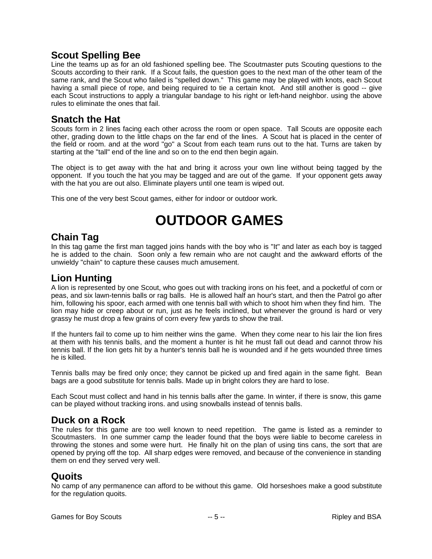# **Scout Spelling Bee**

Line the teams up as for an old fashioned spelling bee. The Scoutmaster puts Scouting questions to the Scouts according to their rank. If a Scout fails, the question goes to the next man of the other team of the same rank, and the Scout who failed is "spelled down." This game may be played with knots, each Scout having a small piece of rope, and being required to tie a certain knot. And still another is good -- give each Scout instructions to apply a triangular bandage to his right or left-hand neighbor. using the above rules to eliminate the ones that fail.

### **Snatch the Hat**

Scouts form in 2 lines facing each other across the room or open space. Tall Scouts are opposite each other, grading down to the little chaps on the far end of the lines. A Scout hat is placed in the center of the field or room. and at the word "go" a Scout from each team runs out to the hat. Turns are taken by starting at the "tall" end of the line and so on to the end then begin again.

The object is to get away with the hat and bring it across your own line without being tagged by the opponent. If you touch the hat you may be tagged and are out of the game. If your opponent gets away with the hat you are out also. Eliminate players until one team is wiped out.

This one of the very best Scout games, either for indoor or outdoor work.

# **OUTDOOR GAMES**

# **Chain Tag**

In this tag game the first man tagged joins hands with the boy who is "It" and later as each boy is tagged he is added to the chain. Soon only a few remain who are not caught and the awkward efforts of the unwieldy "chain" to capture these causes much amusement.

### **Lion Hunting**

A lion is represented by one Scout, who goes out with tracking irons on his feet, and a pocketful of corn or peas, and six lawn-tennis balls or rag balls. He is allowed half an hour's start, and then the Patrol go after him, following his spoor, each armed with one tennis ball with which to shoot him when they find him. The lion may hide or creep about or run, just as he feels inclined, but whenever the ground is hard or very grassy he must drop a few grains of corn every few yards to show the trail.

If the hunters fail to come up to him neither wins the game. When they come near to his lair the lion fires at them with his tennis balls, and the moment a hunter is hit he must fall out dead and cannot throw his tennis ball. If the lion gets hit by a hunter's tennis ball he is wounded and if he gets wounded three times he is killed.

Tennis balls may be fired only once; they cannot be picked up and fired again in the same fight. Bean bags are a good substitute for tennis balls. Made up in bright colors they are hard to lose.

Each Scout must collect and hand in his tennis balls after the game. In winter, if there is snow, this game can be played without tracking irons. and using snowballs instead of tennis balls.

# **Duck on a Rock**

The rules for this game are too well known to need repetition. The game is listed as a reminder to Scoutmasters. In one summer camp the leader found that the boys were liable to become careless in throwing the stones and some were hurt. He finally hit on the plan of using tins cans, the sort that are opened by prying off the top. All sharp edges were removed, and because of the convenience in standing them on end they served very well.

### **Quoits**

No camp of any permanence can afford to be without this game. Old horseshoes make a good substitute for the regulation quoits.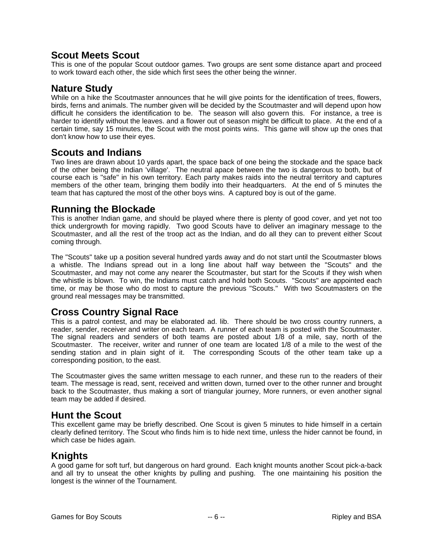# **Scout Meets Scout**

This is one of the popular Scout outdoor games. Two groups are sent some distance apart and proceed to work toward each other, the side which first sees the other being the winner.

### **Nature Study**

While on a hike the Scoutmaster announces that he will give points for the identification of trees, flowers, birds, ferns and animals. The number given will be decided by the Scoutmaster and will depend upon how difficult he considers the identification to be. The season will also govern this. For instance, a tree is harder to identify without the leaves. and a flower out of season might be difficult to place. At the end of a certain time, say 15 minutes, the Scout with the most points wins. This game will show up the ones that don't know how to use their eyes.

### **Scouts and Indians**

Two lines are drawn about 10 yards apart, the space back of one being the stockade and the space back of the other being the Indian 'village'. The neutral apace between the two is dangerous to both, but of course each is "safe" in his own territory. Each party makes raids into the neutral territory and captures members of the other team, bringing them bodily into their headquarters. At the end of 5 minutes the team that has captured the most of the other boys wins. A captured boy is out of the game.

### **Running the Blockade**

This is another Indian game, and should be played where there is plenty of good cover, and yet not too thick undergrowth for moving rapidly. Two good Scouts have to deliver an imaginary message to the Scoutmaster, and all the rest of the troop act as the Indian, and do all they can to prevent either Scout coming through.

The "Scouts" take up a position several hundred yards away and do not start until the Scoutmaster blows a whistle. The Indians spread out in a long line about half way between the "Scouts" and the Scoutmaster, and may not come any nearer the Scoutmaster, but start for the Scouts if they wish when the whistle is blown. To win, the Indians must catch and hold both Scouts. "Scouts" are appointed each time, or may be those who do most to capture the previous "Scouts." With two Scoutmasters on the ground real messages may be transmitted.

# **Cross Country Signal Race**

This is a patrol contest, and may be elaborated ad. lib. There should be two cross country runners, a reader, sender, receiver and writer on each team. A runner of each team is posted with the Scoutmaster. The signal readers and senders of both teams are posted about 1/8 of a mile, say, north of the Scoutmaster. The receiver, writer and runner of one team are located 1/8 of a mile to the west of the sending station and in plain sight of it. The corresponding Scouts of the other team take up a corresponding position, to the east.

The Scoutmaster gives the same written message to each runner, and these run to the readers of their team. The message is read, sent, received and written down, turned over to the other runner and brought back to the Scoutmaster, thus making a sort of triangular journey, More runners, or even another signal team may be added if desired.

### **Hunt the Scout**

This excellent game may be briefly described. One Scout is given 5 minutes to hide himself in a certain clearly defined territory. The Scout who finds him is to hide next time, unless the hider cannot be found, in which case be hides again.

### **Knights**

A good game for soft turf, but dangerous on hard ground. Each knight mounts another Scout pick-a-back and all try to unseat the other knights by pulling and pushing. The one maintaining his position the longest is the winner of the Tournament.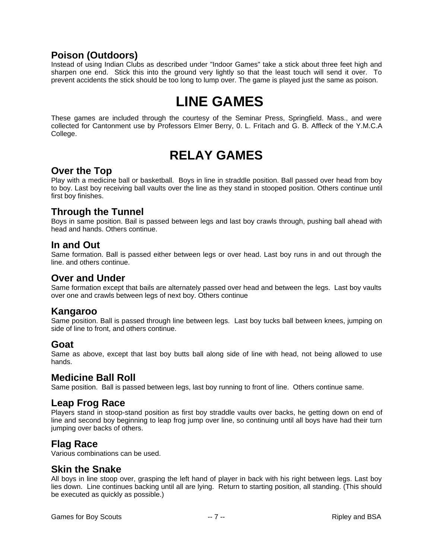# **Poison (Outdoors)**

Instead of using Indian Clubs as described under "Indoor Games" take a stick about three feet high and sharpen one end. Stick this into the ground very lightly so that the least touch will send it over. To prevent accidents the stick should be too long to lump over. The game is played just the same as poison.

# **LINE GAMES**

These games are included through the courtesy of the Seminar Press, Springfield. Mass., and were collected for Cantonment use by Professors Elmer Berry, 0. L. Fritach and G. B. Affleck of the Y.M.C.A College.

# **RELAY GAMES**

### **Over the Top**

Play with a medicine ball or basketball. Boys in line in straddle position. Ball passed over head from boy to boy. Last boy receiving ball vaults over the line as they stand in stooped position. Others continue until first boy finishes.

### **Through the Tunnel**

Boys in same position. Bail is passed between legs and last boy crawls through, pushing ball ahead with head and hands. Others continue.

#### **In and Out**

Same formation. Ball is passed either between legs or over head. Last boy runs in and out through the line. and others continue.

#### **Over and Under**

Same formation except that bails are alternately passed over head and between the legs. Last boy vaults over one and crawls between legs of next boy. Others continue

### **Kangaroo**

Same position. Ball is passed through line between legs. Last boy tucks ball between knees, jumping on side of line to front, and others continue.

### **Goat**

Same as above, except that last boy butts ball along side of line with head, not being allowed to use hands.

### **Medicine Ball Roll**

Same position. Ball is passed between legs, last boy running to front of line. Others continue same.

### **Leap Frog Race**

Players stand in stoop-stand position as first boy straddle vaults over backs, he getting down on end of line and second boy beginning to leap frog jump over line, so continuing until all boys have had their turn jumping over backs of others.

### **Flag Race**

Various combinations can be used.

### **Skin the Snake**

All boys in line stoop over, grasping the left hand of player in back with his right between legs. Last boy lies down. Line continues backing until all are lying. Return to starting position, all standing. (This should be executed as quickly as possible.)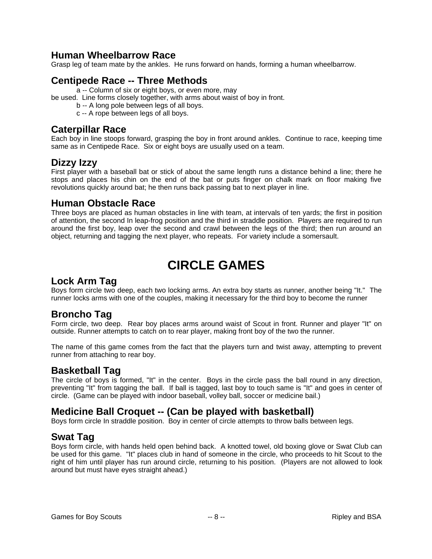# **Human Wheelbarrow Race**

Grasp leg of team mate by the ankles. He runs forward on hands, forming a human wheelbarrow.

# **Centipede Race -- Three Methods**

a -- Column of six or eight boys, or even more, may

be used. Line forms closely together, with arms about waist of boy in front.

- b -- A long pole between legs of all boys.
- c -- A rope between legs of all boys.

### **Caterpillar Race**

Each boy in line stoops forward, grasping the boy in front around ankles. Continue to race, keeping time same as in Centipede Race. Six or eight boys are usually used on a team.

# **Dizzy Izzy**

First player with a baseball bat or stick of about the same length runs a distance behind a line; there he stops and places his chin on the end of the bat or puts finger on chalk mark on floor making five revolutions quickly around bat; he then runs back passing bat to next player in line.

# **Human Obstacle Race**

Three boys are placed as human obstacles in line with team, at intervals of ten yards; the first in position of attention, the second In leap-frog position and the third in straddle position. Players are required to run around the first boy, leap over the second and crawl between the legs of the third; then run around an object, returning and tagging the next player, who repeats. For variety include a somersault.

# **CIRCLE GAMES**

### **Lock Arm Tag**

Boys form circle two deep, each two locking arms. An extra boy starts as runner, another being "It." The runner locks arms with one of the couples, making it necessary for the third boy to become the runner

# **Broncho Tag**

Form circle, two deep. Rear boy places arms around waist of Scout in front. Runner and player "It" on outside. Runner attempts to catch on to rear player, making front boy of the two the runner.

The name of this game comes from the fact that the players turn and twist away, attempting to prevent runner from attaching to rear boy.

### **Basketball Tag**

The circle of boys is formed, "It" in the center. Boys in the circle pass the ball round in any direction, preventing "It" from tagging the ball. If ball is tagged, last boy to touch same is "It" and goes in center of circle. (Game can be played with indoor baseball, volley ball, soccer or medicine bail.)

# **Medicine Ball Croquet -- (Can be played with basketball)**

Boys form circle In straddle position. Boy in center of circle attempts to throw balls between legs.

# **Swat Tag**

Boys form circle, with hands held open behind back. A knotted towel, old boxing glove or Swat Club can be used for this game. "It" places club in hand of someone in the circle, who proceeds to hit Scout to the right of him until player has run around circle, returning to his position. (Players are not allowed to look around but must have eyes straight ahead.)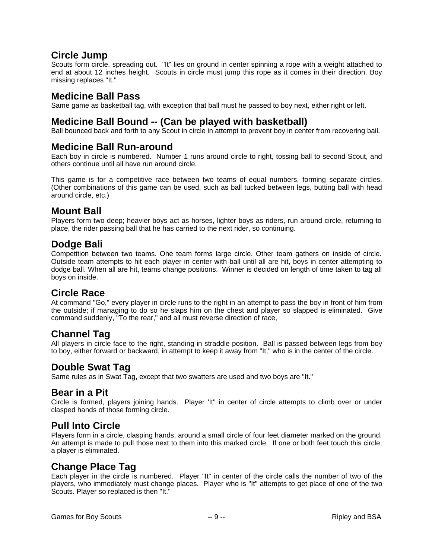# **Circle Jump**

Scouts form circle, spreading out. "It" lies on ground in center spinning a rope with a weight attached to end at about 12 inches height. Scouts in circle must jump this rope as it comes in their direction. Boy missing replaces "It."

# **Medicine Ball Pass**

Same game as basketball tag, with exception that ball must he passed to boy next, either right or left.

# **Medicine Ball Bound -- (Can be played with basketball)**

Ball bounced back and forth to any Scout in circle in attempt to prevent boy in center from recovering bail.

# **Medicine Ball Run-around**

Each boy in circle is numbered. Number 1 runs around circle to right, tossing ball to second Scout, and others continue until all have run around circle.

This game is for a competitive race between two teams of equal numbers, forming separate circles. (Other combinations of this game can be used, such as ball tucked between legs, butting ball with head around circle, etc.)

### **Mount Ball**

Players form two deep; heavier boys act as horses, lighter boys as riders, run around circle, returning to place, the rider passing ball that he has carried to the next rider, so continuing.

### **Dodge Bali**

Competition between two teams. One team forms large circle. Other team gathers on inside of circle. Outside team attempts to hit each player in center with ball until all are hit, boys in center attempting to dodge ball. When all are hit, teams change positions. Winner is decided on length of time taken to tag all boys on inside.

# **Circle Race**

At command "Go," every player in circle runs to the right in an attempt to pass the boy in front of him from the outside; if managing to do so he slaps him on the chest and player so slapped is eliminated. Give command suddenly, "To the rear," and all must reverse direction of race,

# **Channel Tag**

All players in circle face to the right, standing in straddle position. Ball is passed between legs from boy to boy, either forward or backward, in attempt to keep it away from "It," who is in the center of the circle.

# **Double Swat Tag**

Same rules as in Swat Tag, except that two swatters are used and two boys are "It."

# **Bear in a Pit**

Circle is formed, players joining hands. Player 'It" in center of circle attempts to climb over or under clasped hands of those forming circle.

# **Pull Into Circle**

Players form in a circle, clasping hands, around a small circle of four feet diameter marked on the ground. An attempt is made to pull those next to them into this marked circle. If one or both feet touch this circle, a player is eliminated.

### **Change Place Tag**

Each player in the circle is numbered. Player "It" in center of the circle calls the number of two of the players, who immediately must change places. Player who is "It" attempts to get place of one of the two Scouts. Player so replaced is then "It."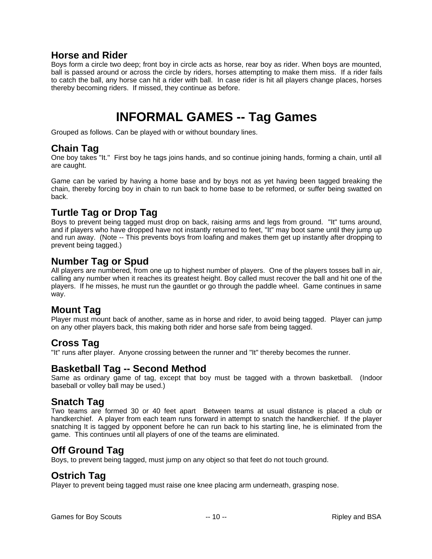### **Horse and Rider**

Boys form a circle two deep; front boy in circle acts as horse, rear boy as rider. When boys are mounted, ball is passed around or across the circle by riders, horses attempting to make them miss. If a rider fails to catch the ball, any horse can hit a rider with ball. In case rider is hit all players change places, horses thereby becoming riders. If missed, they continue as before.

# **INFORMAL GAMES -- Tag Games**

Grouped as follows. Can be played with or without boundary lines.

# **Chain Tag**

One boy takes "It." First boy he tags joins hands, and so continue joining hands, forming a chain, until all are caught.

Game can be varied by having a home base and by boys not as yet having been tagged breaking the chain, thereby forcing boy in chain to run back to home base to be reformed, or suffer being swatted on back.

# **Turtle Tag or Drop Tag**

Boys to prevent being tagged must drop on back, raising arms and legs from ground. "It" turns around, and if players who have dropped have not instantly returned to feet, "It" may boot same until they jump up and run away. (Note -- This prevents boys from loafing and makes them get up instantly after dropping to prevent being tagged.)

# **Number Tag or Spud**

All players are numbered, from one up to highest number of players. One of the players tosses ball in air, calling any number when it reaches its greatest height. Boy called must recover the ball and hit one of the players. If he misses, he must run the gauntlet or go through the paddle wheel. Game continues in same way.

# **Mount Tag**

Player must mount back of another, same as in horse and rider, to avoid being tagged. Player can jump on any other players back, this making both rider and horse safe from being tagged.

# **Cross Tag**

"It" runs after player. Anyone crossing between the runner and "It" thereby becomes the runner.

# **Basketball Tag -- Second Method**

Same as ordinary game of tag, except that boy must be tagged with a thrown basketball. (Indoor baseball or volley ball may be used.)

# **Snatch Tag**

Two teams are formed 30 or 40 feet apart Between teams at usual distance is placed a club or handkerchief. A player from each team runs forward in attempt to snatch the handkerchief. If the player snatching It is tagged by opponent before he can run back to his starting line, he is eliminated from the game. This continues until all players of one of the teams are eliminated.

# **Off Ground Tag**

Boys, to prevent being tagged, must jump on any object so that feet do not touch ground.

### **Ostrich Tag**

Player to prevent being tagged must raise one knee placing arm underneath, grasping nose.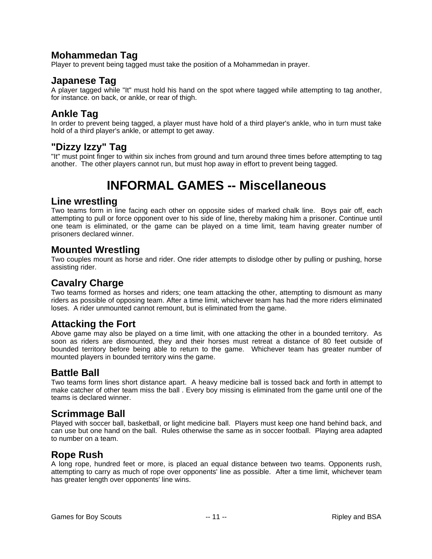# **Mohammedan Tag**

Player to prevent being tagged must take the position of a Mohammedan in prayer.

### **Japanese Tag**

A player tagged while "It" must hold his hand on the spot where tagged while attempting to tag another, for instance. on back, or ankle, or rear of thigh.

# **Ankle Tag**

In order to prevent being tagged, a player must have hold of a third player's ankle, who in turn must take hold of a third player's ankle, or attempt to get away.

# **"Dizzy Izzy" Tag**

"It" must point finger to within six inches from ground and turn around three times before attempting to tag another. The other players cannot run, but must hop away in effort to prevent being tagged.

# **INFORMAL GAMES -- Miscellaneous**

### **Line wrestling**

Two teams form in line facing each other on opposite sides of marked chalk line. Boys pair off, each attempting to pull or force opponent over to his side of line, thereby making him a prisoner. Continue until one team is eliminated, or the game can be played on a time limit, team having greater number of prisoners declared winner.

# **Mounted Wrestling**

Two couples mount as horse and rider. One rider attempts to dislodge other by pulling or pushing, horse assisting rider.

# **Cavalry Charge**

Two teams formed as horses and riders; one team attacking the other, attempting to dismount as many riders as possible of opposing team. After a time limit, whichever team has had the more riders eliminated loses. A rider unmounted cannot remount, but is eliminated from the game.

### **Attacking the Fort**

Above game may also be played on a time limit, with one attacking the other in a bounded territory. As soon as riders are dismounted, they and their horses must retreat a distance of 80 feet outside of bounded territory before being able to return to the game. Whichever team has greater number of mounted players in bounded territory wins the game.

# **Battle Ball**

Two teams form lines short distance apart. A heavy medicine ball is tossed back and forth in attempt to make catcher of other team miss the ball . Every boy missing is eliminated from the game until one of the teams is declared winner.

# **Scrimmage Ball**

Played with soccer ball, basketball, or light medicine ball. Players must keep one hand behind back, and can use but one hand on the ball. Rules otherwise the same as in soccer football. Playing area adapted to number on a team.

# **Rope Rush**

A long rope, hundred feet or more, is placed an equal distance between two teams. Opponents rush, attempting to carry as much of rope over opponents' line as possible. After a time limit, whichever team has greater length over opponents' line wins.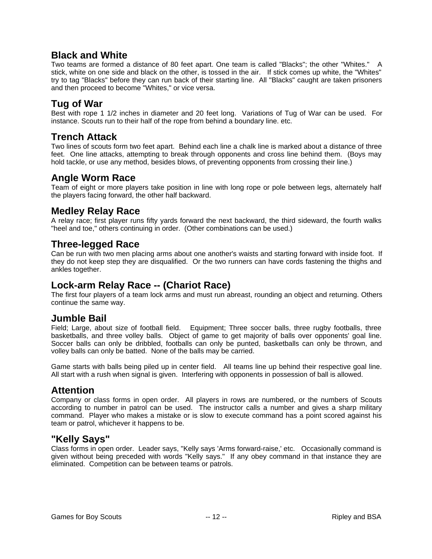# **Black and White**

Two teams are formed a distance of 80 feet apart. One team is called "Blacks"; the other "Whites." A stick, white on one side and black on the other, is tossed in the air. If stick comes up white, the "Whites" try to tag "Blacks" before they can run back of their starting line. All "Blacks" caught are taken prisoners and then proceed to become "Whites," or vice versa.

### **Tug of War**

Best with rope 1 1/2 inches in diameter and 20 feet long. Variations of Tug of War can be used. For instance. Scouts run to their half of the rope from behind a boundary line. etc.

### **Trench Attack**

Two lines of scouts form two feet apart. Behind each line a chalk line is marked about a distance of three feet. One line attacks, attempting to break through opponents and cross line behind them. (Boys may hold tackle, or use any method, besides blows, of preventing opponents from crossing their line.)

# **Angle Worm Race**

Team of eight or more players take position in line with long rope or pole between legs, alternately half the players facing forward, the other half backward.

#### **Medley Relay Race**

A relay race; first player runs fifty yards forward the next backward, the third sideward, the fourth walks "heel and toe," others continuing in order. (Other combinations can be used.)

### **Three-legged Race**

Can be run with two men placing arms about one another's waists and starting forward with inside foot. If they do not keep step they are disqualified. Or the two runners can have cords fastening the thighs and ankles together.

# **Lock-arm Relay Race -- (Chariot Race)**

The first four players of a team lock arms and must run abreast, rounding an object and returning. Others continue the same way.

#### **Jumble Bail**

Field; Large, about size of football field. Equipment; Three soccer balls, three rugby footballs, three basketballs, and three volley balls. Object of game to get majority of balls over opponents' goal line. Soccer balls can only be dribbled, footballs can only be punted, basketballs can only be thrown, and volley balls can only be batted. None of the balls may be carried.

Game starts with balls being piled up in center field. All teams line up behind their respective goal line. All start with a rush when signal is given. Interfering with opponents in possession of ball is allowed.

### **Attention**

Company or class forms in open order. All players in rows are numbered, or the numbers of Scouts according to number in patrol can be used. The instructor calls a number and gives a sharp military command. Player who makes a mistake or is slow to execute command has a point scored against his team or patrol, whichever it happens to be.

### **"Kelly Says"**

Class forms in open order. Leader says, "Kelly says 'Arms forward-raise,' etc. Occasionally command is given without being preceded with words "Kelly says." If any obey command in that instance they are eliminated. Competition can be between teams or patrols.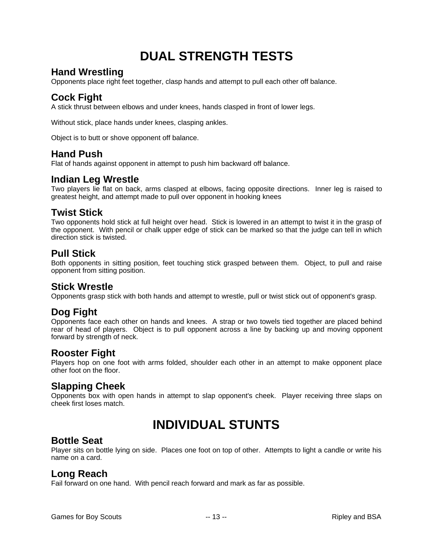# **DUAL STRENGTH TESTS**

# **Hand Wrestling**

Opponents place right feet together, clasp hands and attempt to pull each other off balance.

# **Cock Fight**

A stick thrust between elbows and under knees, hands clasped in front of lower legs.

Without stick, place hands under knees, clasping ankles.

Object is to butt or shove opponent off balance.

### **Hand Push**

Flat of hands against opponent in attempt to push him backward off balance.

# **Indian Leg Wrestle**

Two players lie flat on back, arms clasped at elbows, facing opposite directions. Inner leg is raised to greatest height, and attempt made to pull over opponent in hooking knees

### **Twist Stick**

Two opponents hold stick at full height over head. Stick is lowered in an attempt to twist it in the grasp of the opponent. With pencil or chalk upper edge of stick can be marked so that the judge can tell in which direction stick is twisted.

# **Pull Stick**

Both opponents in sitting position, feet touching stick grasped between them. Object, to pull and raise opponent from sitting position.

# **Stick Wrestle**

Opponents grasp stick with both hands and attempt to wrestle, pull or twist stick out of opponent's grasp.

# **Dog Fight**

Opponents face each other on hands and knees. A strap or two towels tied together are placed behind rear of head of players. Object is to pull opponent across a line by backing up and moving opponent forward by strength of neck.

# **Rooster Fight**

Players hop on one foot with arms folded, shoulder each other in an attempt to make opponent place other foot on the floor.

# **Slapping Cheek**

Opponents box with open hands in attempt to slap opponent's cheek. Player receiving three slaps on cheek first loses match.

# **INDIVIDUAL STUNTS**

#### **Bottle Seat**

Player sits on bottle lying on side. Places one foot on top of other. Attempts to light a candle or write his name on a card.

### **Long Reach**

Fail forward on one hand. With pencil reach forward and mark as far as possible.